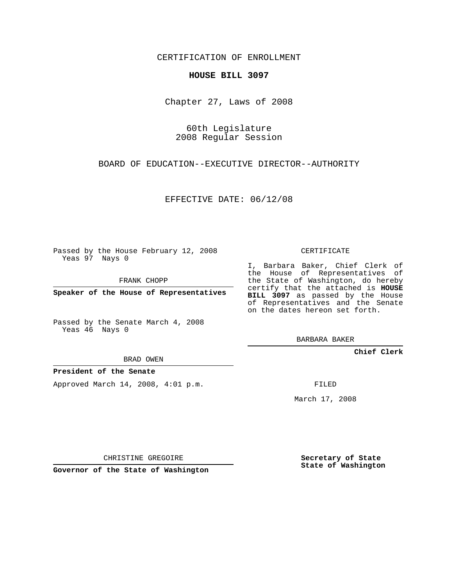CERTIFICATION OF ENROLLMENT

## **HOUSE BILL 3097**

Chapter 27, Laws of 2008

60th Legislature 2008 Regular Session

BOARD OF EDUCATION--EXECUTIVE DIRECTOR--AUTHORITY

EFFECTIVE DATE: 06/12/08

Passed by the House February 12, 2008 Yeas 97 Nays 0

FRANK CHOPP

**Speaker of the House of Representatives**

Passed by the Senate March 4, 2008 Yeas 46 Nays 0

BRAD OWEN

**President of the Senate**

Approved March 14, 2008, 4:01 p.m.

CERTIFICATE

I, Barbara Baker, Chief Clerk of the House of Representatives of the State of Washington, do hereby certify that the attached is **HOUSE BILL 3097** as passed by the House of Representatives and the Senate on the dates hereon set forth.

BARBARA BAKER

**Chief Clerk**

FILED

March 17, 2008

CHRISTINE GREGOIRE

**Governor of the State of Washington**

**Secretary of State State of Washington**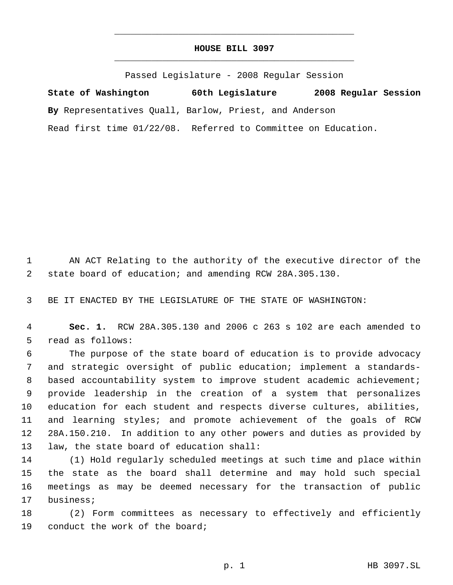## **HOUSE BILL 3097** \_\_\_\_\_\_\_\_\_\_\_\_\_\_\_\_\_\_\_\_\_\_\_\_\_\_\_\_\_\_\_\_\_\_\_\_\_\_\_\_\_\_\_\_\_

\_\_\_\_\_\_\_\_\_\_\_\_\_\_\_\_\_\_\_\_\_\_\_\_\_\_\_\_\_\_\_\_\_\_\_\_\_\_\_\_\_\_\_\_\_

Passed Legislature - 2008 Regular Session

**State of Washington 60th Legislature 2008 Regular Session By** Representatives Quall, Barlow, Priest, and Anderson Read first time 01/22/08. Referred to Committee on Education.

 AN ACT Relating to the authority of the executive director of the state board of education; and amending RCW 28A.305.130.

BE IT ENACTED BY THE LEGISLATURE OF THE STATE OF WASHINGTON:

 **Sec. 1.** RCW 28A.305.130 and 2006 c 263 s 102 are each amended to read as follows:

 The purpose of the state board of education is to provide advocacy and strategic oversight of public education; implement a standards- 8 based accountability system to improve student academic achievement; provide leadership in the creation of a system that personalizes education for each student and respects diverse cultures, abilities, and learning styles; and promote achievement of the goals of RCW 28A.150.210. In addition to any other powers and duties as provided by law, the state board of education shall:

 (1) Hold regularly scheduled meetings at such time and place within the state as the board shall determine and may hold such special meetings as may be deemed necessary for the transaction of public business;

 (2) Form committees as necessary to effectively and efficiently 19 conduct the work of the board;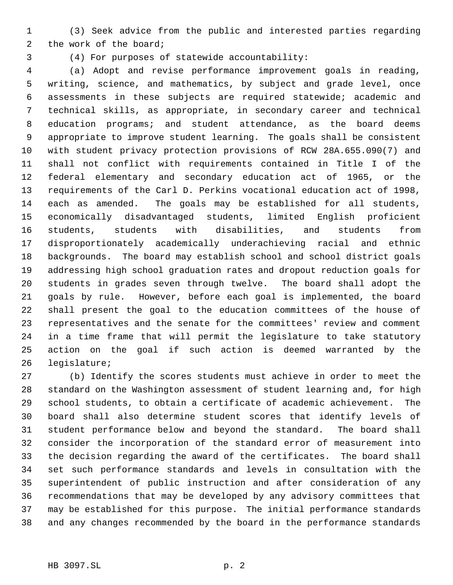(3) Seek advice from the public and interested parties regarding the work of the board;

(4) For purposes of statewide accountability:

 (a) Adopt and revise performance improvement goals in reading, writing, science, and mathematics, by subject and grade level, once assessments in these subjects are required statewide; academic and technical skills, as appropriate, in secondary career and technical education programs; and student attendance, as the board deems appropriate to improve student learning. The goals shall be consistent with student privacy protection provisions of RCW 28A.655.090(7) and shall not conflict with requirements contained in Title I of the federal elementary and secondary education act of 1965, or the requirements of the Carl D. Perkins vocational education act of 1998, each as amended. The goals may be established for all students, economically disadvantaged students, limited English proficient students, students with disabilities, and students from disproportionately academically underachieving racial and ethnic backgrounds. The board may establish school and school district goals addressing high school graduation rates and dropout reduction goals for students in grades seven through twelve. The board shall adopt the goals by rule. However, before each goal is implemented, the board shall present the goal to the education committees of the house of representatives and the senate for the committees' review and comment in a time frame that will permit the legislature to take statutory action on the goal if such action is deemed warranted by the legislature;

 (b) Identify the scores students must achieve in order to meet the standard on the Washington assessment of student learning and, for high school students, to obtain a certificate of academic achievement. The board shall also determine student scores that identify levels of student performance below and beyond the standard. The board shall consider the incorporation of the standard error of measurement into the decision regarding the award of the certificates. The board shall set such performance standards and levels in consultation with the superintendent of public instruction and after consideration of any recommendations that may be developed by any advisory committees that may be established for this purpose. The initial performance standards and any changes recommended by the board in the performance standards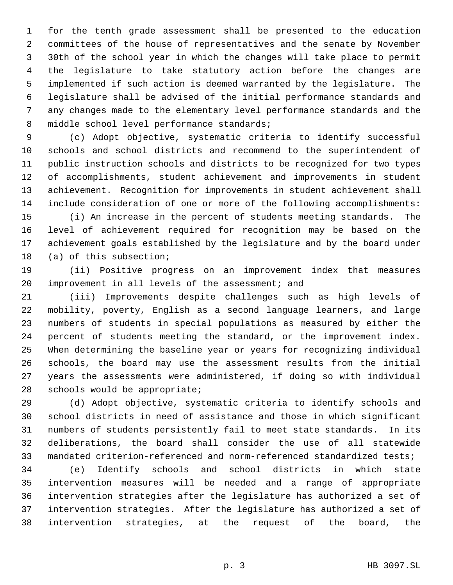for the tenth grade assessment shall be presented to the education committees of the house of representatives and the senate by November 30th of the school year in which the changes will take place to permit the legislature to take statutory action before the changes are implemented if such action is deemed warranted by the legislature. The legislature shall be advised of the initial performance standards and any changes made to the elementary level performance standards and the 8 middle school level performance standards;

 (c) Adopt objective, systematic criteria to identify successful schools and school districts and recommend to the superintendent of public instruction schools and districts to be recognized for two types of accomplishments, student achievement and improvements in student achievement. Recognition for improvements in student achievement shall include consideration of one or more of the following accomplishments:

 (i) An increase in the percent of students meeting standards. The level of achievement required for recognition may be based on the achievement goals established by the legislature and by the board under (a) of this subsection;

 (ii) Positive progress on an improvement index that measures improvement in all levels of the assessment; and

 (iii) Improvements despite challenges such as high levels of mobility, poverty, English as a second language learners, and large numbers of students in special populations as measured by either the percent of students meeting the standard, or the improvement index. When determining the baseline year or years for recognizing individual schools, the board may use the assessment results from the initial years the assessments were administered, if doing so with individual schools would be appropriate;

 (d) Adopt objective, systematic criteria to identify schools and school districts in need of assistance and those in which significant numbers of students persistently fail to meet state standards. In its deliberations, the board shall consider the use of all statewide mandated criterion-referenced and norm-referenced standardized tests;

 (e) Identify schools and school districts in which state intervention measures will be needed and a range of appropriate intervention strategies after the legislature has authorized a set of intervention strategies. After the legislature has authorized a set of intervention strategies, at the request of the board, the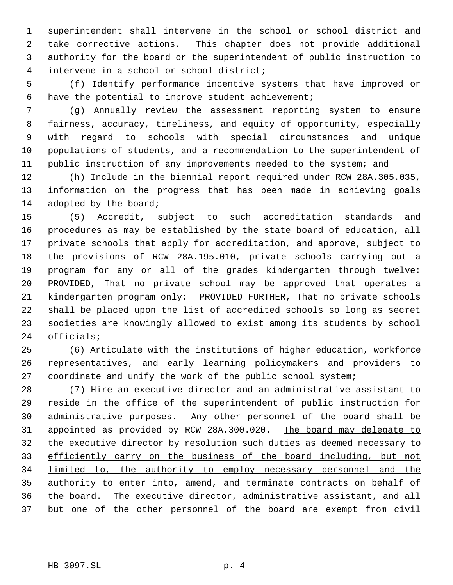superintendent shall intervene in the school or school district and take corrective actions. This chapter does not provide additional authority for the board or the superintendent of public instruction to intervene in a school or school district;

 (f) Identify performance incentive systems that have improved or have the potential to improve student achievement;

 (g) Annually review the assessment reporting system to ensure fairness, accuracy, timeliness, and equity of opportunity, especially with regard to schools with special circumstances and unique populations of students, and a recommendation to the superintendent of public instruction of any improvements needed to the system; and

 (h) Include in the biennial report required under RCW 28A.305.035, information on the progress that has been made in achieving goals 14 adopted by the board;

 (5) Accredit, subject to such accreditation standards and procedures as may be established by the state board of education, all private schools that apply for accreditation, and approve, subject to the provisions of RCW 28A.195.010, private schools carrying out a program for any or all of the grades kindergarten through twelve: PROVIDED, That no private school may be approved that operates a kindergarten program only: PROVIDED FURTHER, That no private schools shall be placed upon the list of accredited schools so long as secret societies are knowingly allowed to exist among its students by school officials;

 (6) Articulate with the institutions of higher education, workforce representatives, and early learning policymakers and providers to coordinate and unify the work of the public school system;

 (7) Hire an executive director and an administrative assistant to reside in the office of the superintendent of public instruction for administrative purposes. Any other personnel of the board shall be appointed as provided by RCW 28A.300.020. The board may delegate to 32 the executive director by resolution such duties as deemed necessary to efficiently carry on the business of the board including, but not limited to, the authority to employ necessary personnel and the authority to enter into, amend, and terminate contracts on behalf of the board. The executive director, administrative assistant, and all but one of the other personnel of the board are exempt from civil